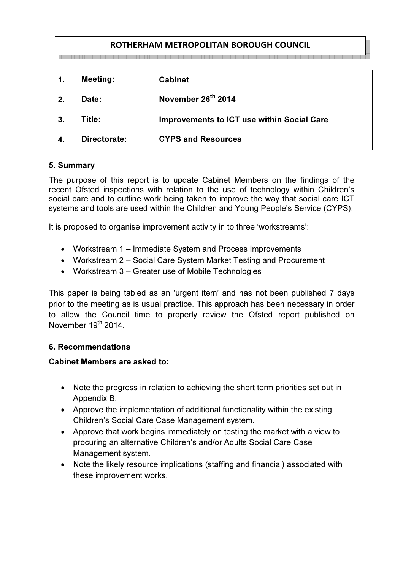# ROTHERHAM METROPOLITAN BOROUGH COUNCIL

| 1. | <b>Meeting:</b> | <b>Cabinet</b>                                    |
|----|-----------------|---------------------------------------------------|
| 2. | Date:           | November 26 <sup>th</sup> 2014                    |
| 3. | <b>Fitle:</b>   | <b>Improvements to ICT use within Social Care</b> |
|    | Directorate:    | <b>CYPS and Resources</b>                         |

#### 5. Summary

The purpose of this report is to update Cabinet Members on the findings of the recent Ofsted inspections with relation to the use of technology within Children's social care and to outline work being taken to improve the way that social care ICT systems and tools are used within the Children and Young People's Service (CYPS).

It is proposed to organise improvement activity in to three 'workstreams':

- Workstream 1 Immediate System and Process Improvements
- Workstream 2 Social Care System Market Testing and Procurement
- Workstream 3 Greater use of Mobile Technologies

This paper is being tabled as an 'urgent item' and has not been published 7 days prior to the meeting as is usual practice. This approach has been necessary in order to allow the Council time to properly review the Ofsted report published on November 19<sup>th</sup> 2014

#### 6. Recommendations

#### Cabinet Members are asked to:

- Note the progress in relation to achieving the short term priorities set out in Appendix B.
- Approve the implementation of additional functionality within the existing Children's Social Care Case Management system.
- Approve that work begins immediately on testing the market with a view to procuring an alternative Children's and/or Adults Social Care Case Management system.
- Note the likely resource implications (staffing and financial) associated with these improvement works.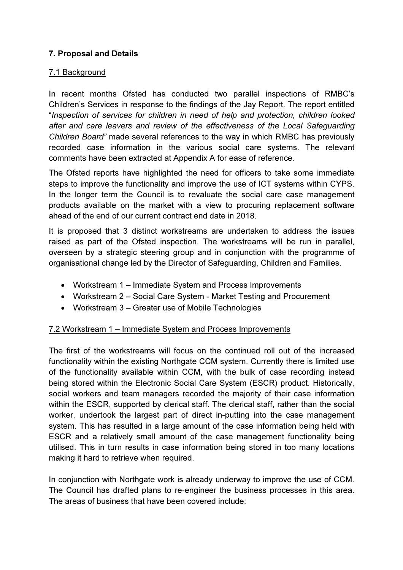## 7. Proposal and Details

#### 7.1 Background

In recent months Ofsted has conducted two parallel inspections of RMBC's Children's Services in response to the findings of the Jay Report. The report entitled "Inspection of services for children in need of help and protection, children looked after and care leavers and review of the effectiveness of the Local Safeguarding Children Board" made several references to the way in which RMBC has previously recorded case information in the various social care systems. The relevant comments have been extracted at Appendix A for ease of reference.

The Ofsted reports have highlighted the need for officers to take some immediate steps to improve the functionality and improve the use of ICT systems within CYPS. In the longer term the Council is to revaluate the social care case management products available on the market with a view to procuring replacement software ahead of the end of our current contract end date in 2018.

It is proposed that 3 distinct workstreams are undertaken to address the issues raised as part of the Ofsted inspection. The workstreams will be run in parallel, overseen by a strategic steering group and in conjunction with the programme of organisational change led by the Director of Safeguarding, Children and Families.

- Workstream 1 Immediate System and Process Improvements
- Workstream 2 Social Care System Market Testing and Procurement
- Workstream 3 Greater use of Mobile Technologies

## 7.2 Workstream 1 – Immediate System and Process Improvements

The first of the workstreams will focus on the continued roll out of the increased functionality within the existing Northgate CCM system. Currently there is limited use of the functionality available within CCM, with the bulk of case recording instead being stored within the Electronic Social Care System (ESCR) product. Historically, social workers and team managers recorded the majority of their case information within the ESCR, supported by clerical staff. The clerical staff, rather than the social worker, undertook the largest part of direct in-putting into the case management system. This has resulted in a large amount of the case information being held with ESCR and a relatively small amount of the case management functionality being utilised. This in turn results in case information being stored in too many locations making it hard to retrieve when required.

In conjunction with Northgate work is already underway to improve the use of CCM. The Council has drafted plans to re-engineer the business processes in this area. The areas of business that have been covered include: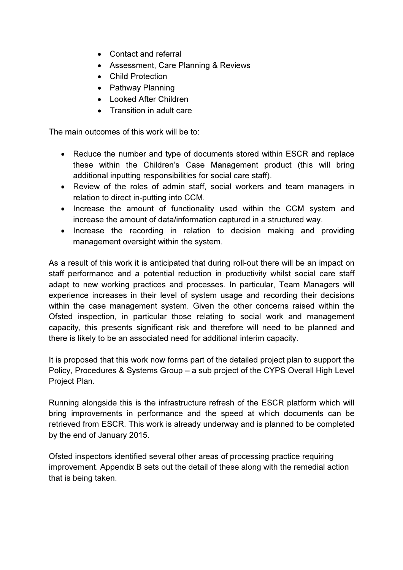- Contact and referral
- Assessment, Care Planning & Reviews
- Child Protection
- Pathway Planning
- Looked After Children
- Transition in adult care

The main outcomes of this work will be to:

- Reduce the number and type of documents stored within ESCR and replace these within the Children's Case Management product (this will bring additional inputting responsibilities for social care staff).
- Review of the roles of admin staff, social workers and team managers in relation to direct in-putting into CCM.
- Increase the amount of functionality used within the CCM system and increase the amount of data/information captured in a structured way.
- Increase the recording in relation to decision making and providing management oversight within the system.

As a result of this work it is anticipated that during roll-out there will be an impact on staff performance and a potential reduction in productivity whilst social care staff adapt to new working practices and processes. In particular, Team Managers will experience increases in their level of system usage and recording their decisions within the case management system. Given the other concerns raised within the Ofsted inspection, in particular those relating to social work and management capacity, this presents significant risk and therefore will need to be planned and there is likely to be an associated need for additional interim capacity.

It is proposed that this work now forms part of the detailed project plan to support the Policy, Procedures & Systems Group – a sub project of the CYPS Overall High Level Project Plan.

Running alongside this is the infrastructure refresh of the ESCR platform which will bring improvements in performance and the speed at which documents can be retrieved from ESCR. This work is already underway and is planned to be completed by the end of January 2015.

Ofsted inspectors identified several other areas of processing practice requiring improvement. Appendix B sets out the detail of these along with the remedial action that is being taken.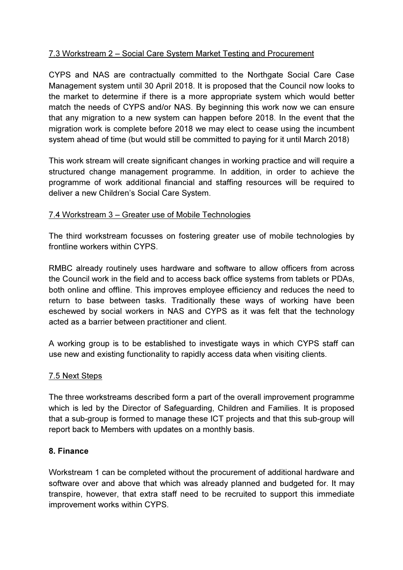## 7.3 Workstream 2 – Social Care System Market Testing and Procurement

CYPS and NAS are contractually committed to the Northgate Social Care Case Management system until 30 April 2018. It is proposed that the Council now looks to the market to determine if there is a more appropriate system which would better match the needs of CYPS and/or NAS. By beginning this work now we can ensure that any migration to a new system can happen before 2018. In the event that the migration work is complete before 2018 we may elect to cease using the incumbent system ahead of time (but would still be committed to paying for it until March 2018)

This work stream will create significant changes in working practice and will require a structured change management programme. In addition, in order to achieve the programme of work additional financial and staffing resources will be required to deliver a new Children's Social Care System.

## 7.4 Workstream 3 – Greater use of Mobile Technologies

The third workstream focusses on fostering greater use of mobile technologies by frontline workers within CYPS.

RMBC already routinely uses hardware and software to allow officers from across the Council work in the field and to access back office systems from tablets or PDAs, both online and offline. This improves employee efficiency and reduces the need to return to base between tasks. Traditionally these ways of working have been eschewed by social workers in NAS and CYPS as it was felt that the technology acted as a barrier between practitioner and client.

A working group is to be established to investigate ways in which CYPS staff can use new and existing functionality to rapidly access data when visiting clients.

## 7.5 Next Steps

The three workstreams described form a part of the overall improvement programme which is led by the Director of Safeguarding, Children and Families. It is proposed that a sub-group is formed to manage these ICT projects and that this sub-group will report back to Members with updates on a monthly basis.

## 8. Finance

Workstream 1 can be completed without the procurement of additional hardware and software over and above that which was already planned and budgeted for. It may transpire, however, that extra staff need to be recruited to support this immediate improvement works within CYPS.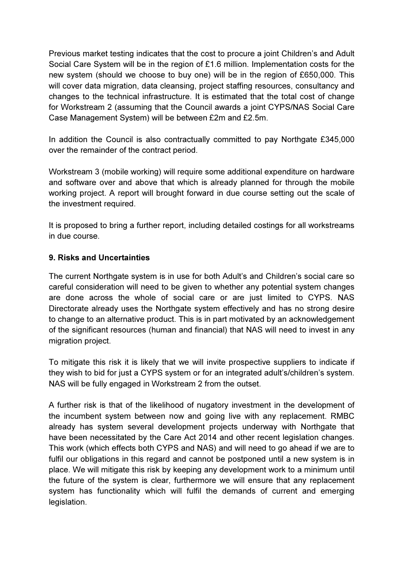Previous market testing indicates that the cost to procure a joint Children's and Adult Social Care System will be in the region of £1.6 million. Implementation costs for the new system (should we choose to buy one) will be in the region of £650,000. This will cover data migration, data cleansing, project staffing resources, consultancy and changes to the technical infrastructure. It is estimated that the total cost of change for Workstream 2 (assuming that the Council awards a joint CYPS/NAS Social Care Case Management System) will be between £2m and £2.5m.

In addition the Council is also contractually committed to pay Northgate £345,000 over the remainder of the contract period.

Workstream 3 (mobile working) will require some additional expenditure on hardware and software over and above that which is already planned for through the mobile working project. A report will brought forward in due course setting out the scale of the investment required.

It is proposed to bring a further report, including detailed costings for all workstreams in due course.

## 9. Risks and Uncertainties

The current Northgate system is in use for both Adult's and Children's social care so careful consideration will need to be given to whether any potential system changes are done across the whole of social care or are just limited to CYPS. NAS Directorate already uses the Northgate system effectively and has no strong desire to change to an alternative product. This is in part motivated by an acknowledgement of the significant resources (human and financial) that NAS will need to invest in any migration project.

To mitigate this risk it is likely that we will invite prospective suppliers to indicate if they wish to bid for just a CYPS system or for an integrated adult's/children's system. NAS will be fully engaged in Workstream 2 from the outset.

A further risk is that of the likelihood of nugatory investment in the development of the incumbent system between now and going live with any replacement. RMBC already has system several development projects underway with Northgate that have been necessitated by the Care Act 2014 and other recent legislation changes. This work (which effects both CYPS and NAS) and will need to go ahead if we are to fulfil our obligations in this regard and cannot be postponed until a new system is in place. We will mitigate this risk by keeping any development work to a minimum until the future of the system is clear, furthermore we will ensure that any replacement system has functionality which will fulfil the demands of current and emerging legislation.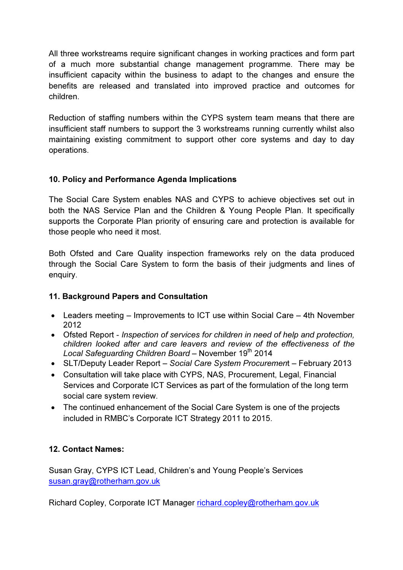All three workstreams require significant changes in working practices and form part of a much more substantial change management programme. There may be insufficient capacity within the business to adapt to the changes and ensure the benefits are released and translated into improved practice and outcomes for children.

Reduction of staffing numbers within the CYPS system team means that there are insufficient staff numbers to support the 3 workstreams running currently whilst also maintaining existing commitment to support other core systems and day to day operations.

# 10. Policy and Performance Agenda Implications

The Social Care System enables NAS and CYPS to achieve objectives set out in both the NAS Service Plan and the Children & Young People Plan. It specifically supports the Corporate Plan priority of ensuring care and protection is available for those people who need it most.

Both Ofsted and Care Quality inspection frameworks rely on the data produced through the Social Care System to form the basis of their judgments and lines of enquiry.

# 11. Background Papers and Consultation

- Leaders meeting Improvements to ICT use within Social Care 4th November 2012
- Ofsted Report Inspection of services for children in need of help and protection, children looked after and care leavers and review of the effectiveness of the Local Safeguarding Children Board - November 19<sup>th</sup> 2014
- SLT/Deputy Leader Report Social Care System Procurement February 2013
- Consultation will take place with CYPS, NAS, Procurement, Legal, Financial Services and Corporate ICT Services as part of the formulation of the long term social care system review.
- The continued enhancement of the Social Care System is one of the projects included in RMBC's Corporate ICT Strategy 2011 to 2015.

# 12. Contact Names:

Susan Gray, CYPS ICT Lead, Children's and Young People's Services susan.gray@rotherham.gov.uk

Richard Copley, Corporate ICT Manager richard.copley@rotherham.gov.uk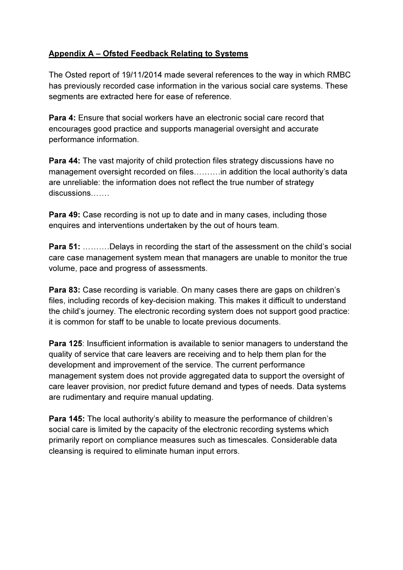# Appendix A – Ofsted Feedback Relating to Systems

The Osted report of 19/11/2014 made several references to the way in which RMBC has previously recorded case information in the various social care systems. These segments are extracted here for ease of reference.

Para 4: Ensure that social workers have an electronic social care record that encourages good practice and supports managerial oversight and accurate performance information.

Para 44: The vast majority of child protection files strategy discussions have no management oversight recorded on files……….in addition the local authority's data are unreliable: the information does not reflect the true number of strategy discussions…….

Para 49: Case recording is not up to date and in many cases, including those enquires and interventions undertaken by the out of hours team.

**Para 51:** ..........Delays in recording the start of the assessment on the child's social care case management system mean that managers are unable to monitor the true volume, pace and progress of assessments.

Para 83: Case recording is variable. On many cases there are gaps on children's files, including records of key-decision making. This makes it difficult to understand the child's journey. The electronic recording system does not support good practice: it is common for staff to be unable to locate previous documents.

Para 125: Insufficient information is available to senior managers to understand the quality of service that care leavers are receiving and to help them plan for the development and improvement of the service. The current performance management system does not provide aggregated data to support the oversight of care leaver provision, nor predict future demand and types of needs. Data systems are rudimentary and require manual updating.

Para 145: The local authority's ability to measure the performance of children's social care is limited by the capacity of the electronic recording systems which primarily report on compliance measures such as timescales. Considerable data cleansing is required to eliminate human input errors.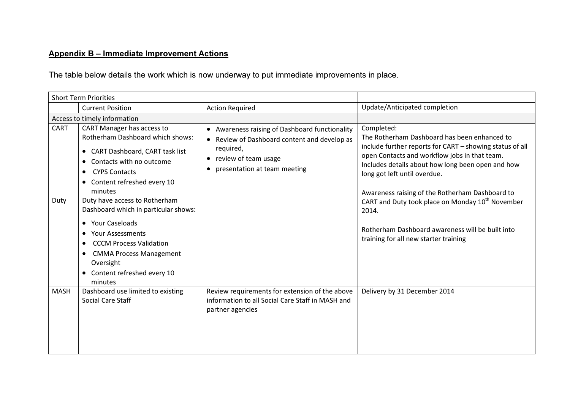# Appendix B – Immediate Improvement Actions

The table below details the work which is now underway to put immediate improvements in place.

| <b>Short Term Priorities</b> |                                                                                                                                                                                                                                                                                                                                                                                                                                                                                                                     |                                                                                                                                                                                    |                                                                                                                                                                                                                                                                                                                                                                                                                                                                                       |
|------------------------------|---------------------------------------------------------------------------------------------------------------------------------------------------------------------------------------------------------------------------------------------------------------------------------------------------------------------------------------------------------------------------------------------------------------------------------------------------------------------------------------------------------------------|------------------------------------------------------------------------------------------------------------------------------------------------------------------------------------|---------------------------------------------------------------------------------------------------------------------------------------------------------------------------------------------------------------------------------------------------------------------------------------------------------------------------------------------------------------------------------------------------------------------------------------------------------------------------------------|
|                              | <b>Current Position</b>                                                                                                                                                                                                                                                                                                                                                                                                                                                                                             | <b>Action Required</b>                                                                                                                                                             | Update/Anticipated completion                                                                                                                                                                                                                                                                                                                                                                                                                                                         |
| Access to timely information |                                                                                                                                                                                                                                                                                                                                                                                                                                                                                                                     |                                                                                                                                                                                    |                                                                                                                                                                                                                                                                                                                                                                                                                                                                                       |
| <b>CART</b><br>Duty          | CART Manager has access to<br><b>Rotherham Dashboard which shows:</b><br>• CART Dashboard, CART task list<br>Contacts with no outcome<br>$\bullet$<br><b>CYPS Contacts</b><br>Content refreshed every 10<br>$\bullet$<br>minutes<br>Duty have access to Rotherham<br>Dashboard which in particular shows:<br><b>Your Caseloads</b><br>$\bullet$<br><b>Your Assessments</b><br><b>CCCM Process Validation</b><br><b>CMMA Process Management</b><br>$\bullet$<br>Oversight<br>• Content refreshed every 10<br>minutes | • Awareness raising of Dashboard functionality<br>• Review of Dashboard content and develop as<br>required,<br>• review of team usage<br>presentation at team meeting<br>$\bullet$ | Completed:<br>The Rotherham Dashboard has been enhanced to<br>include further reports for CART - showing status of all<br>open Contacts and workflow jobs in that team.<br>Includes details about how long been open and how<br>long got left until overdue.<br>Awareness raising of the Rotherham Dashboard to<br>CART and Duty took place on Monday 10 <sup>th</sup> November<br>2014.<br>Rotherham Dashboard awareness will be built into<br>training for all new starter training |
| <b>MASH</b>                  | Dashboard use limited to existing<br><b>Social Care Staff</b>                                                                                                                                                                                                                                                                                                                                                                                                                                                       | Review requirements for extension of the above<br>information to all Social Care Staff in MASH and<br>partner agencies                                                             | Delivery by 31 December 2014                                                                                                                                                                                                                                                                                                                                                                                                                                                          |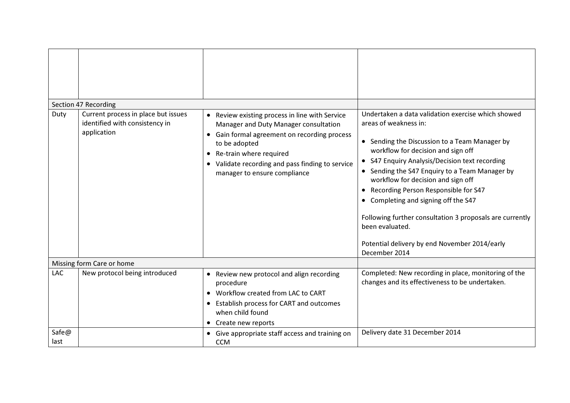| Duty          | Section 47 Recording<br>Current process in place but issues<br>identified with consistency in<br>application | Review existing process in line with Service<br>Manager and Duty Manager consultation<br>Gain formal agreement on recording process<br>$\bullet$<br>to be adopted<br>• Re-train where required<br>• Validate recording and pass finding to service<br>manager to ensure compliance | Undertaken a data validation exercise which showed<br>areas of weakness in:<br>• Sending the Discussion to a Team Manager by<br>workflow for decision and sign off<br>• S47 Enquiry Analysis/Decision text recording<br>• Sending the S47 Enquiry to a Team Manager by<br>workflow for decision and sign off<br>• Recording Person Responsible for S47<br>• Completing and signing off the S47<br>Following further consultation 3 proposals are currently<br>been evaluated.<br>Potential delivery by end November 2014/early<br>December 2014 |
|---------------|--------------------------------------------------------------------------------------------------------------|------------------------------------------------------------------------------------------------------------------------------------------------------------------------------------------------------------------------------------------------------------------------------------|-------------------------------------------------------------------------------------------------------------------------------------------------------------------------------------------------------------------------------------------------------------------------------------------------------------------------------------------------------------------------------------------------------------------------------------------------------------------------------------------------------------------------------------------------|
|               | Missing form Care or home                                                                                    |                                                                                                                                                                                                                                                                                    |                                                                                                                                                                                                                                                                                                                                                                                                                                                                                                                                                 |
| LAC           | New protocol being introduced                                                                                | • Review new protocol and align recording<br>procedure<br>• Workflow created from LAC to CART<br>Establish process for CART and outcomes<br>when child found<br>Create new reports                                                                                                 | Completed: New recording in place, monitoring of the<br>changes and its effectiveness to be undertaken.                                                                                                                                                                                                                                                                                                                                                                                                                                         |
| Safe@<br>last |                                                                                                              | • Give appropriate staff access and training on<br><b>CCM</b>                                                                                                                                                                                                                      | Delivery date 31 December 2014                                                                                                                                                                                                                                                                                                                                                                                                                                                                                                                  |